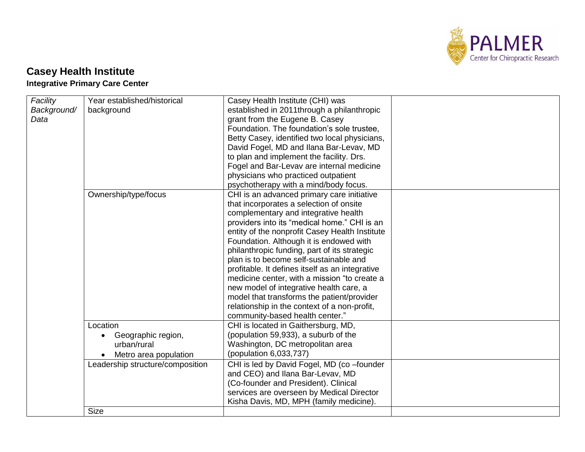

## **Casey Health Institute**

## **Integrative Primary Care Center**

| Facility    | Year established/historical      | Casey Health Institute (CHI) was                |  |
|-------------|----------------------------------|-------------------------------------------------|--|
| Background/ | background                       | established in 2011through a philanthropic      |  |
| Data        |                                  | grant from the Eugene B. Casey                  |  |
|             |                                  | Foundation. The foundation's sole trustee.      |  |
|             |                                  | Betty Casey, identified two local physicians,   |  |
|             |                                  | David Fogel, MD and Ilana Bar-Levav, MD         |  |
|             |                                  | to plan and implement the facility. Drs.        |  |
|             |                                  | Fogel and Bar-Levav are internal medicine       |  |
|             |                                  | physicians who practiced outpatient             |  |
|             |                                  | psychotherapy with a mind/body focus.           |  |
|             | Ownership/type/focus             | CHI is an advanced primary care initiative      |  |
|             |                                  | that incorporates a selection of onsite         |  |
|             |                                  | complementary and integrative health            |  |
|             |                                  | providers into its "medical home." CHI is an    |  |
|             |                                  | entity of the nonprofit Casey Health Institute  |  |
|             |                                  | Foundation. Although it is endowed with         |  |
|             |                                  | philanthropic funding, part of its strategic    |  |
|             |                                  | plan is to become self-sustainable and          |  |
|             |                                  | profitable. It defines itself as an integrative |  |
|             |                                  | medicine center, with a mission "to create a    |  |
|             |                                  | new model of integrative health care, a         |  |
|             |                                  | model that transforms the patient/provider      |  |
|             |                                  | relationship in the context of a non-profit,    |  |
|             |                                  | community-based health center."                 |  |
|             | Location                         | CHI is located in Gaithersburg, MD,             |  |
|             | Geographic region,               | (population 59,933), a suburb of the            |  |
|             | urban/rural                      | Washington, DC metropolitan area                |  |
|             | Metro area population            | (population 6,033,737)                          |  |
|             | Leadership structure/composition | CHI is led by David Fogel, MD (co-founder       |  |
|             |                                  | and CEO) and Ilana Bar-Levav, MD                |  |
|             |                                  | (Co-founder and President). Clinical            |  |
|             |                                  | services are overseen by Medical Director       |  |
|             |                                  | Kisha Davis, MD, MPH (family medicine).         |  |
|             | <b>Size</b>                      |                                                 |  |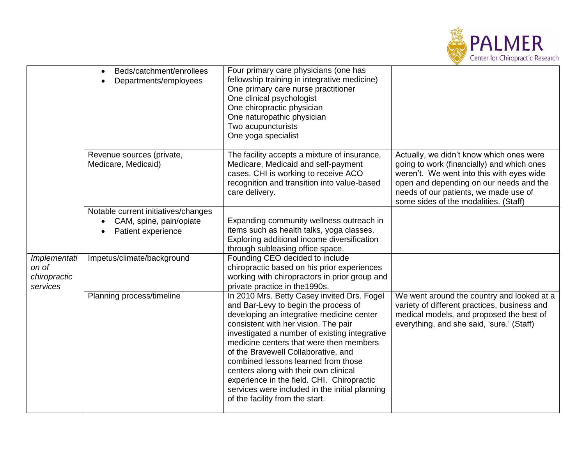

|                                                   | Beds/catchment/enrollees<br>Departments/employees                                                 | Four primary care physicians (one has<br>fellowship training in integrative medicine)<br>One primary care nurse practitioner<br>One clinical psychologist<br>One chiropractic physician<br>One naturopathic physician<br>Two acupuncturists<br>One yoga specialist                                                                                                                                                                                                                                                             |                                                                                                                                                                                                                                                                  |
|---------------------------------------------------|---------------------------------------------------------------------------------------------------|--------------------------------------------------------------------------------------------------------------------------------------------------------------------------------------------------------------------------------------------------------------------------------------------------------------------------------------------------------------------------------------------------------------------------------------------------------------------------------------------------------------------------------|------------------------------------------------------------------------------------------------------------------------------------------------------------------------------------------------------------------------------------------------------------------|
|                                                   | Revenue sources (private,<br>Medicare, Medicaid)                                                  | The facility accepts a mixture of insurance,<br>Medicare, Medicaid and self-payment<br>cases. CHI is working to receive ACO<br>recognition and transition into value-based<br>care delivery.                                                                                                                                                                                                                                                                                                                                   | Actually, we didn't know which ones were<br>going to work (financially) and which ones<br>weren't. We went into this with eyes wide<br>open and depending on our needs and the<br>needs of our patients, we made use of<br>some sides of the modalities. (Staff) |
|                                                   | Notable current initiatives/changes<br>CAM, spine, pain/opiate<br>$\bullet$<br>Patient experience | Expanding community wellness outreach in<br>items such as health talks, yoga classes.<br>Exploring additional income diversification<br>through subleasing office space.                                                                                                                                                                                                                                                                                                                                                       |                                                                                                                                                                                                                                                                  |
| Implementati<br>on of<br>chiropractic<br>services | Impetus/climate/background                                                                        | Founding CEO decided to include<br>chiropractic based on his prior experiences<br>working with chiropractors in prior group and<br>private practice in the 1990s.                                                                                                                                                                                                                                                                                                                                                              |                                                                                                                                                                                                                                                                  |
|                                                   | Planning process/timeline                                                                         | In 2010 Mrs. Betty Casey invited Drs. Fogel<br>and Bar-Levy to begin the process of<br>developing an integrative medicine center<br>consistent with her vision. The pair<br>investigated a number of existing integrative<br>medicine centers that were then members<br>of the Bravewell Collaborative, and<br>combined lessons learned from those<br>centers along with their own clinical<br>experience in the field. CHI. Chiropractic<br>services were included in the initial planning<br>of the facility from the start. | We went around the country and looked at a<br>variety of different practices, business and<br>medical models, and proposed the best of<br>everything, and she said, 'sure.' (Staff)                                                                              |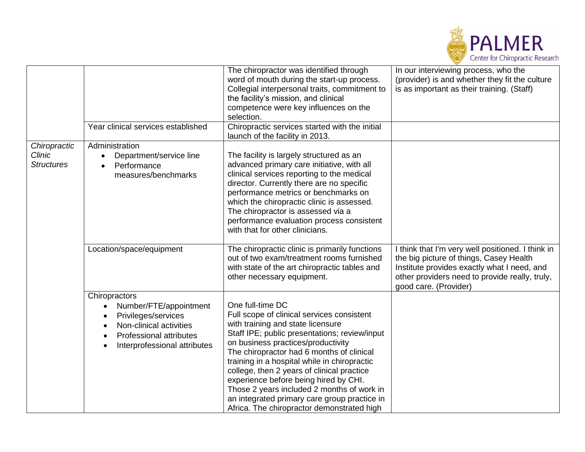

|                                             |                                                                                                                                                             | The chiropractor was identified through<br>word of mouth during the start-up process.<br>Collegial interpersonal traits, commitment to<br>the facility's mission, and clinical<br>competence were key influences on the<br>selection.                                                                                                                                                                                                                                                                                      | In our interviewing process, who the<br>(provider) is and whether they fit the culture<br>is as important as their training. (Staff)                                                                                   |
|---------------------------------------------|-------------------------------------------------------------------------------------------------------------------------------------------------------------|----------------------------------------------------------------------------------------------------------------------------------------------------------------------------------------------------------------------------------------------------------------------------------------------------------------------------------------------------------------------------------------------------------------------------------------------------------------------------------------------------------------------------|------------------------------------------------------------------------------------------------------------------------------------------------------------------------------------------------------------------------|
|                                             | Year clinical services established                                                                                                                          | Chiropractic services started with the initial<br>launch of the facility in 2013.                                                                                                                                                                                                                                                                                                                                                                                                                                          |                                                                                                                                                                                                                        |
| Chiropractic<br>Clinic<br><b>Structures</b> | Administration<br>Department/service line<br>$\bullet$<br>Performance<br>$\bullet$<br>measures/benchmarks                                                   | The facility is largely structured as an<br>advanced primary care initiative, with all<br>clinical services reporting to the medical<br>director. Currently there are no specific<br>performance metrics or benchmarks on<br>which the chiropractic clinic is assessed.<br>The chiropractor is assessed via a<br>performance evaluation process consistent<br>with that for other clinicians.                                                                                                                              |                                                                                                                                                                                                                        |
|                                             | Location/space/equipment                                                                                                                                    | The chiropractic clinic is primarily functions<br>out of two exam/treatment rooms furnished<br>with state of the art chiropractic tables and<br>other necessary equipment.                                                                                                                                                                                                                                                                                                                                                 | I think that I'm very well positioned. I think in<br>the big picture of things, Casey Health<br>Institute provides exactly what I need, and<br>other providers need to provide really, truly,<br>good care. (Provider) |
|                                             | Chiropractors<br>Number/FTE/appointment<br>Privileges/services<br>Non-clinical activities<br><b>Professional attributes</b><br>Interprofessional attributes | One full-time DC<br>Full scope of clinical services consistent<br>with training and state licensure<br>Staff IPE; public presentations; review/input<br>on business practices/productivity<br>The chiropractor had 6 months of clinical<br>training in a hospital while in chiropractic<br>college, then 2 years of clinical practice<br>experience before being hired by CHI.<br>Those 2 years included 2 months of work in<br>an integrated primary care group practice in<br>Africa. The chiropractor demonstrated high |                                                                                                                                                                                                                        |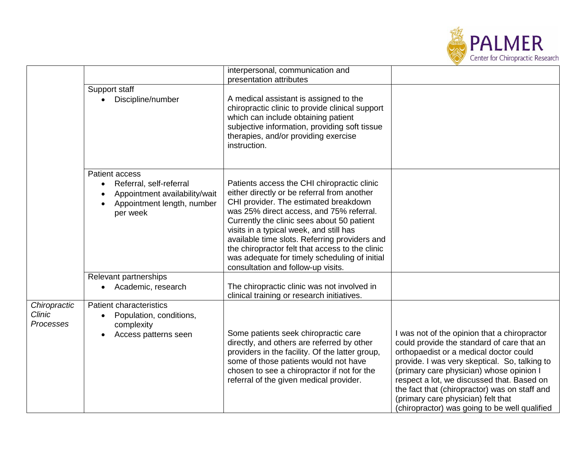

|                                            |                                                                                                                                                | interpersonal, communication and<br>presentation attributes                                                                                                                                                                                                                                                                                                                                                                                                         |                                                                                                                                                                                                                                                                                                                                                                                                                         |
|--------------------------------------------|------------------------------------------------------------------------------------------------------------------------------------------------|---------------------------------------------------------------------------------------------------------------------------------------------------------------------------------------------------------------------------------------------------------------------------------------------------------------------------------------------------------------------------------------------------------------------------------------------------------------------|-------------------------------------------------------------------------------------------------------------------------------------------------------------------------------------------------------------------------------------------------------------------------------------------------------------------------------------------------------------------------------------------------------------------------|
|                                            | Support staff<br>Discipline/number<br>$\bullet$                                                                                                | A medical assistant is assigned to the<br>chiropractic clinic to provide clinical support<br>which can include obtaining patient<br>subjective information, providing soft tissue<br>therapies, and/or providing exercise<br>instruction.                                                                                                                                                                                                                           |                                                                                                                                                                                                                                                                                                                                                                                                                         |
|                                            | Patient access<br>Referral, self-referral<br>$\bullet$<br>Appointment availability/wait<br>$\bullet$<br>Appointment length, number<br>per week | Patients access the CHI chiropractic clinic<br>either directly or be referral from another<br>CHI provider. The estimated breakdown<br>was 25% direct access, and 75% referral.<br>Currently the clinic sees about 50 patient<br>visits in a typical week, and still has<br>available time slots. Referring providers and<br>the chiropractor felt that access to the clinic<br>was adequate for timely scheduling of initial<br>consultation and follow-up visits. |                                                                                                                                                                                                                                                                                                                                                                                                                         |
|                                            | Relevant partnerships<br>Academic, research<br>$\bullet$                                                                                       | The chiropractic clinic was not involved in<br>clinical training or research initiatives.                                                                                                                                                                                                                                                                                                                                                                           |                                                                                                                                                                                                                                                                                                                                                                                                                         |
| Chiropractic<br><b>Clinic</b><br>Processes | <b>Patient characteristics</b><br>Population, conditions,<br>$\bullet$<br>complexity<br>Access patterns seen                                   | Some patients seek chiropractic care<br>directly, and others are referred by other<br>providers in the facility. Of the latter group,<br>some of those patients would not have<br>chosen to see a chiropractor if not for the<br>referral of the given medical provider.                                                                                                                                                                                            | I was not of the opinion that a chiropractor<br>could provide the standard of care that an<br>orthopaedist or a medical doctor could<br>provide. I was very skeptical. So, talking to<br>(primary care physician) whose opinion I<br>respect a lot, we discussed that. Based on<br>the fact that (chiropractor) was on staff and<br>(primary care physician) felt that<br>(chiropractor) was going to be well qualified |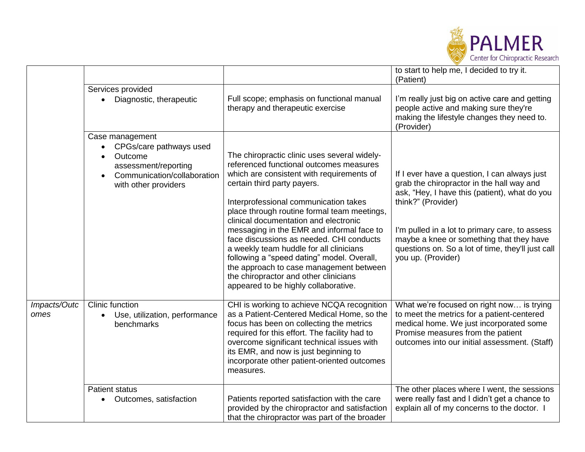

|              |                                                                                                                                      |                                                                                                                                                                                                                                                                                                                                                                                                                                                                                                                                                                                                                    | to start to help me, I decided to try it.<br>(Patient)                                                                                                                                                                                                                                                                                    |
|--------------|--------------------------------------------------------------------------------------------------------------------------------------|--------------------------------------------------------------------------------------------------------------------------------------------------------------------------------------------------------------------------------------------------------------------------------------------------------------------------------------------------------------------------------------------------------------------------------------------------------------------------------------------------------------------------------------------------------------------------------------------------------------------|-------------------------------------------------------------------------------------------------------------------------------------------------------------------------------------------------------------------------------------------------------------------------------------------------------------------------------------------|
|              | Services provided                                                                                                                    |                                                                                                                                                                                                                                                                                                                                                                                                                                                                                                                                                                                                                    |                                                                                                                                                                                                                                                                                                                                           |
|              | Diagnostic, therapeutic                                                                                                              | Full scope; emphasis on functional manual<br>therapy and therapeutic exercise                                                                                                                                                                                                                                                                                                                                                                                                                                                                                                                                      | I'm really just big on active care and getting<br>people active and making sure they're<br>making the lifestyle changes they need to.<br>(Provider)                                                                                                                                                                                       |
|              | Case management<br>CPGs/care pathways used<br>Outcome<br>assessment/reporting<br>Communication/collaboration<br>with other providers | The chiropractic clinic uses several widely-<br>referenced functional outcomes measures<br>which are consistent with requirements of<br>certain third party payers.<br>Interprofessional communication takes<br>place through routine formal team meetings,<br>clinical documentation and electronic<br>messaging in the EMR and informal face to<br>face discussions as needed. CHI conducts<br>a weekly team huddle for all clinicians<br>following a "speed dating" model. Overall,<br>the approach to case management between<br>the chiropractor and other clinicians<br>appeared to be highly collaborative. | If I ever have a question, I can always just<br>grab the chiropractor in the hall way and<br>ask, "Hey, I have this (patient), what do you<br>think?" (Provider)<br>I'm pulled in a lot to primary care, to assess<br>maybe a knee or something that they have<br>questions on. So a lot of time, they'll just call<br>you up. (Provider) |
| Impacts/Outc | Clinic function                                                                                                                      | CHI is working to achieve NCQA recognition                                                                                                                                                                                                                                                                                                                                                                                                                                                                                                                                                                         | What we're focused on right now is trying                                                                                                                                                                                                                                                                                                 |
| omes         | Use, utilization, performance<br>$\bullet$<br>benchmarks                                                                             | as a Patient-Centered Medical Home, so the<br>focus has been on collecting the metrics<br>required for this effort. The facility had to<br>overcome significant technical issues with<br>its EMR, and now is just beginning to<br>incorporate other patient-oriented outcomes<br>measures.                                                                                                                                                                                                                                                                                                                         | to meet the metrics for a patient-centered<br>medical home. We just incorporated some<br>Promise measures from the patient<br>outcomes into our initial assessment. (Staff)                                                                                                                                                               |
|              | <b>Patient status</b>                                                                                                                |                                                                                                                                                                                                                                                                                                                                                                                                                                                                                                                                                                                                                    | The other places where I went, the sessions                                                                                                                                                                                                                                                                                               |
|              | Outcomes, satisfaction                                                                                                               | Patients reported satisfaction with the care<br>provided by the chiropractor and satisfaction<br>that the chiropractor was part of the broader                                                                                                                                                                                                                                                                                                                                                                                                                                                                     | were really fast and I didn't get a chance to<br>explain all of my concerns to the doctor. I                                                                                                                                                                                                                                              |